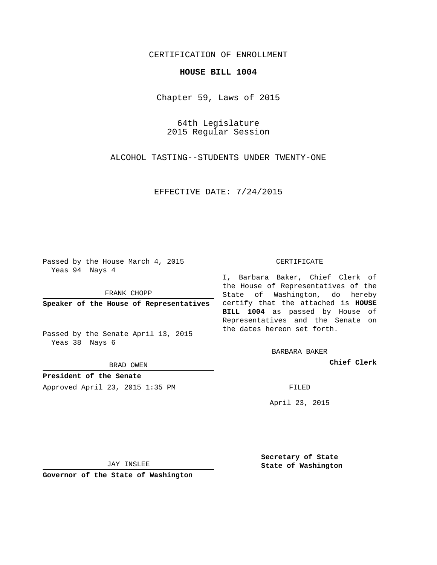# CERTIFICATION OF ENROLLMENT

### **HOUSE BILL 1004**

Chapter 59, Laws of 2015

64th Legislature 2015 Regular Session

ALCOHOL TASTING--STUDENTS UNDER TWENTY-ONE

EFFECTIVE DATE: 7/24/2015

Passed by the House March 4, 2015 Yeas 94 Nays 4

FRANK CHOPP

Passed by the Senate April 13, 2015 Yeas 38 Nays 6

BRAD OWEN

**President of the Senate**

Approved April 23, 2015 1:35 PM FILED

#### CERTIFICATE

**Speaker of the House of Representatives** certify that the attached is **HOUSE** I, Barbara Baker, Chief Clerk of the House of Representatives of the State of Washington, do hereby **BILL 1004** as passed by House of Representatives and the Senate on the dates hereon set forth.

BARBARA BAKER

**Chief Clerk**

April 23, 2015

JAY INSLEE

**Governor of the State of Washington**

**Secretary of State State of Washington**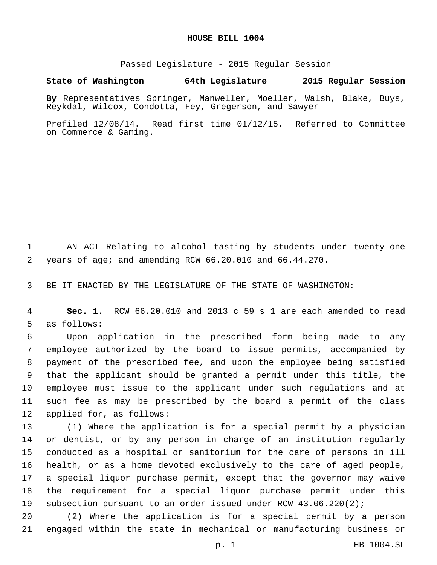## **HOUSE BILL 1004**

Passed Legislature - 2015 Regular Session

# **State of Washington 64th Legislature 2015 Regular Session**

**By** Representatives Springer, Manweller, Moeller, Walsh, Blake, Buys, Reykdal, Wilcox, Condotta, Fey, Gregerson, and Sawyer

Prefiled 12/08/14. Read first time 01/12/15. Referred to Committee on Commerce & Gaming.

 AN ACT Relating to alcohol tasting by students under twenty-one years of age; and amending RCW 66.20.010 and 66.44.270.

BE IT ENACTED BY THE LEGISLATURE OF THE STATE OF WASHINGTON:

 **Sec. 1.** RCW 66.20.010 and 2013 c 59 s 1 are each amended to read 5 as follows:

 Upon application in the prescribed form being made to any employee authorized by the board to issue permits, accompanied by payment of the prescribed fee, and upon the employee being satisfied that the applicant should be granted a permit under this title, the employee must issue to the applicant under such regulations and at such fee as may be prescribed by the board a permit of the class 12 applied for, as follows:

 (1) Where the application is for a special permit by a physician or dentist, or by any person in charge of an institution regularly conducted as a hospital or sanitorium for the care of persons in ill health, or as a home devoted exclusively to the care of aged people, a special liquor purchase permit, except that the governor may waive the requirement for a special liquor purchase permit under this subsection pursuant to an order issued under RCW 43.06.220(2);

 (2) Where the application is for a special permit by a person engaged within the state in mechanical or manufacturing business or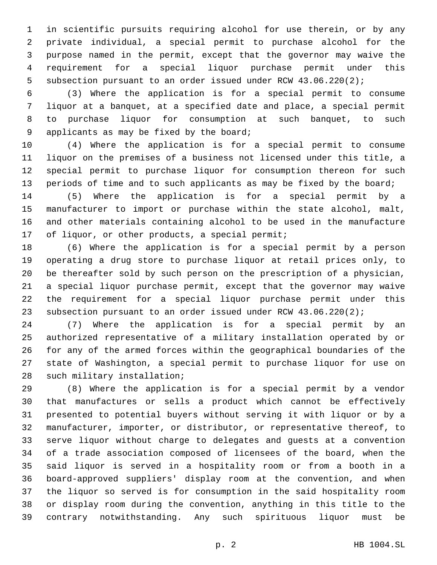in scientific pursuits requiring alcohol for use therein, or by any private individual, a special permit to purchase alcohol for the purpose named in the permit, except that the governor may waive the requirement for a special liquor purchase permit under this subsection pursuant to an order issued under RCW 43.06.220(2);

 (3) Where the application is for a special permit to consume liquor at a banquet, at a specified date and place, a special permit to purchase liquor for consumption at such banquet, to such 9 applicants as may be fixed by the board;

 (4) Where the application is for a special permit to consume liquor on the premises of a business not licensed under this title, a special permit to purchase liquor for consumption thereon for such 13 periods of time and to such applicants as may be fixed by the board;

 (5) Where the application is for a special permit by a manufacturer to import or purchase within the state alcohol, malt, and other materials containing alcohol to be used in the manufacture 17 of liquor, or other products, a special permit;

 (6) Where the application is for a special permit by a person operating a drug store to purchase liquor at retail prices only, to be thereafter sold by such person on the prescription of a physician, a special liquor purchase permit, except that the governor may waive the requirement for a special liquor purchase permit under this subsection pursuant to an order issued under RCW 43.06.220(2);

 (7) Where the application is for a special permit by an authorized representative of a military installation operated by or for any of the armed forces within the geographical boundaries of the state of Washington, a special permit to purchase liquor for use on 28 such military installation;

 (8) Where the application is for a special permit by a vendor that manufactures or sells a product which cannot be effectively presented to potential buyers without serving it with liquor or by a manufacturer, importer, or distributor, or representative thereof, to serve liquor without charge to delegates and guests at a convention of a trade association composed of licensees of the board, when the said liquor is served in a hospitality room or from a booth in a board-approved suppliers' display room at the convention, and when the liquor so served is for consumption in the said hospitality room or display room during the convention, anything in this title to the contrary notwithstanding. Any such spirituous liquor must be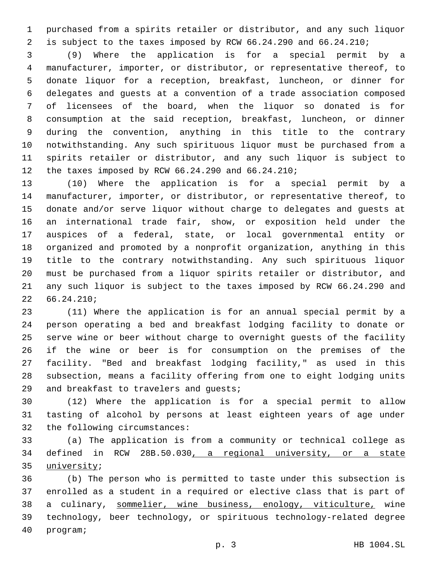purchased from a spirits retailer or distributor, and any such liquor is subject to the taxes imposed by RCW 66.24.290 and 66.24.210;

 (9) Where the application is for a special permit by a manufacturer, importer, or distributor, or representative thereof, to donate liquor for a reception, breakfast, luncheon, or dinner for delegates and guests at a convention of a trade association composed of licensees of the board, when the liquor so donated is for consumption at the said reception, breakfast, luncheon, or dinner during the convention, anything in this title to the contrary notwithstanding. Any such spirituous liquor must be purchased from a spirits retailer or distributor, and any such liquor is subject to 12 the taxes imposed by RCW 66.24.290 and 66.24.210;

 (10) Where the application is for a special permit by a manufacturer, importer, or distributor, or representative thereof, to donate and/or serve liquor without charge to delegates and guests at an international trade fair, show, or exposition held under the auspices of a federal, state, or local governmental entity or organized and promoted by a nonprofit organization, anything in this title to the contrary notwithstanding. Any such spirituous liquor must be purchased from a liquor spirits retailer or distributor, and any such liquor is subject to the taxes imposed by RCW 66.24.290 and  $2266.24.210;$ 

 (11) Where the application is for an annual special permit by a person operating a bed and breakfast lodging facility to donate or serve wine or beer without charge to overnight guests of the facility if the wine or beer is for consumption on the premises of the facility. "Bed and breakfast lodging facility," as used in this subsection, means a facility offering from one to eight lodging units 29 and breakfast to travelers and quests;

 (12) Where the application is for a special permit to allow tasting of alcohol by persons at least eighteen years of age under 32 the following circumstances:

 (a) The application is from a community or technical college as defined in RCW 28B.50.030, a regional university, or a state 35 university;

 (b) The person who is permitted to taste under this subsection is enrolled as a student in a required or elective class that is part of 38 a culinary, sommelier, wine business, enology, viticulture, wine technology, beer technology, or spirituous technology-related degree 40 program;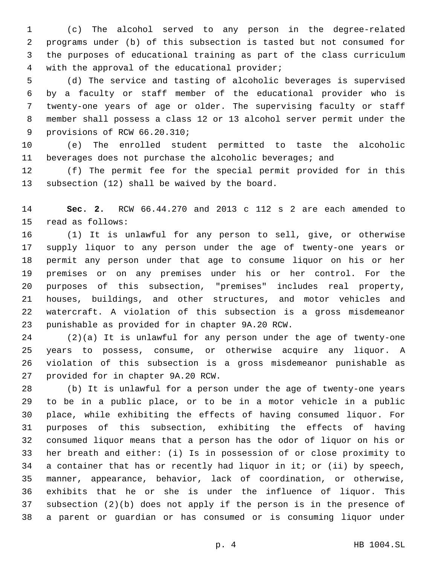(c) The alcohol served to any person in the degree-related programs under (b) of this subsection is tasted but not consumed for the purposes of educational training as part of the class curriculum 4 with the approval of the educational provider;

 (d) The service and tasting of alcoholic beverages is supervised by a faculty or staff member of the educational provider who is twenty-one years of age or older. The supervising faculty or staff member shall possess a class 12 or 13 alcohol server permit under the 9 provisions of RCW 66.20.310;

 (e) The enrolled student permitted to taste the alcoholic beverages does not purchase the alcoholic beverages; and

 (f) The permit fee for the special permit provided for in this 13 subsection (12) shall be waived by the board.

 **Sec. 2.** RCW 66.44.270 and 2013 c 112 s 2 are each amended to 15 read as follows:

 (1) It is unlawful for any person to sell, give, or otherwise supply liquor to any person under the age of twenty-one years or permit any person under that age to consume liquor on his or her premises or on any premises under his or her control. For the purposes of this subsection, "premises" includes real property, houses, buildings, and other structures, and motor vehicles and watercraft. A violation of this subsection is a gross misdemeanor 23 punishable as provided for in chapter 9A.20 RCW.

 (2)(a) It is unlawful for any person under the age of twenty-one years to possess, consume, or otherwise acquire any liquor. A violation of this subsection is a gross misdemeanor punishable as 27 provided for in chapter 9A.20 RCW.

 (b) It is unlawful for a person under the age of twenty-one years to be in a public place, or to be in a motor vehicle in a public place, while exhibiting the effects of having consumed liquor. For purposes of this subsection, exhibiting the effects of having consumed liquor means that a person has the odor of liquor on his or her breath and either: (i) Is in possession of or close proximity to a container that has or recently had liquor in it; or (ii) by speech, manner, appearance, behavior, lack of coordination, or otherwise, exhibits that he or she is under the influence of liquor. This subsection (2)(b) does not apply if the person is in the presence of a parent or guardian or has consumed or is consuming liquor under